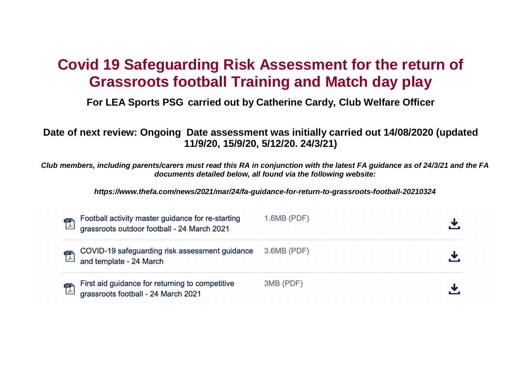## **Covid 19 Safeguarding Risk Assessment for the return of Grassroots football Training and Match day play**

**For LEA Sports PSG carried out by Catherine Cardy, Club Welfare Officer** 

**Date of next review: Ongoing Date assessment was initially carried out 14/08/2020 (updated 11/9/20, 15/9/20, 5/12/20. 24/3/21)** 

**Club members, including parents/carers must read this RA in conjunction with the latest FA guidance as of 24/3/21 and the FA documents detailed below, all found via the following website:** 

**https://www.thefa.com/news/2021/mar/24/fa-guidance-for-return-to-grassroots-football-20210324** 

| $\mathbb{Z}$         | Football activity master guidance for re-starting<br>grassroots outdoor football - 24 March 2021 | $1.6MB$ (PDF) |  |
|----------------------|--------------------------------------------------------------------------------------------------|---------------|--|
|                      | COVID-19 safeguarding risk assessment guidance<br>and template - 24 March                        | $3.6MB$ (PDF) |  |
| $\frac{1}{\sqrt{2}}$ | First aid guidance for returning to competitive<br>grassroots football - 24 March 2021           | 3MB (PDF)     |  |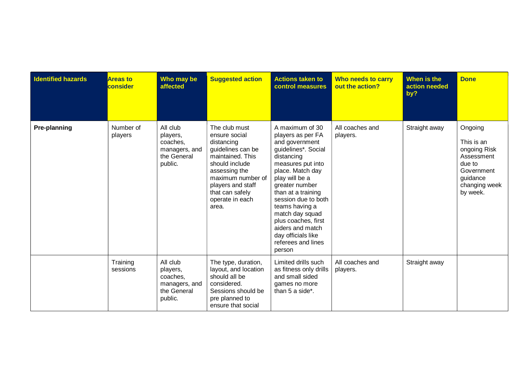| <b>Identified hazards</b> | <b>Areas to</b><br>consider | Who may be<br>affected                                                      | <b>Suggested action</b>                                                                                                                                                                                           | <b>Actions taken to</b><br>control measures                                                                                                                                                                                                                                                                                                                 | Who needs to carry<br>out the action? | When is the<br>action needed<br>by? | <b>Done</b>                                                                                                          |
|---------------------------|-----------------------------|-----------------------------------------------------------------------------|-------------------------------------------------------------------------------------------------------------------------------------------------------------------------------------------------------------------|-------------------------------------------------------------------------------------------------------------------------------------------------------------------------------------------------------------------------------------------------------------------------------------------------------------------------------------------------------------|---------------------------------------|-------------------------------------|----------------------------------------------------------------------------------------------------------------------|
| Pre-planning              | Number of<br>players        | All club<br>players,<br>coaches.<br>managers, and<br>the General<br>public. | The club must<br>ensure social<br>distancing<br>guidelines can be<br>maintained. This<br>should include<br>assessing the<br>maximum number of<br>players and staff<br>that can safely<br>operate in each<br>area. | A maximum of 30<br>players as per FA<br>and government<br>guidelines*. Social<br>distancing<br>measures put into<br>place. Match day<br>play will be a<br>greater number<br>than at a training<br>session due to both<br>teams having a<br>match day squad<br>plus coaches, first<br>aiders and match<br>day officials like<br>referees and lines<br>person | All coaches and<br>players.           | Straight away                       | Ongoing<br>This is an<br>ongoing Risk<br>Assessment<br>due to<br>Government<br>guidance<br>changing week<br>by week. |
|                           | Training<br>sessions        | All club<br>players,<br>coaches,<br>managers, and<br>the General<br>public. | The type, duration,<br>layout, and location<br>should all be<br>considered.<br>Sessions should be<br>pre planned to<br>ensure that social                                                                         | Limited drills such<br>as fitness only drills<br>and small sided<br>games no more<br>than 5 a side*.                                                                                                                                                                                                                                                        | All coaches and<br>players.           | Straight away                       |                                                                                                                      |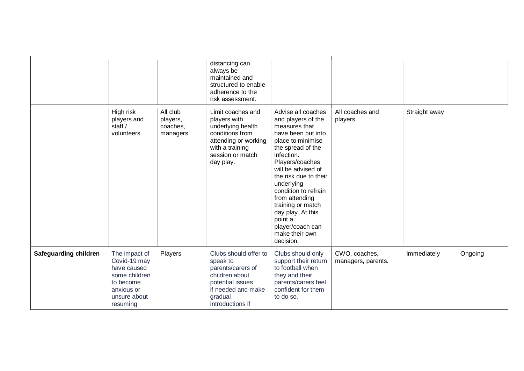|                              |                                                                                                                      |                                              | distancing can<br>always be<br>maintained and<br>structured to enable<br>adherence to the<br>risk assessment.                                         |                                                                                                                                                                                                                                                                                                                                                                           |                                     |               |         |
|------------------------------|----------------------------------------------------------------------------------------------------------------------|----------------------------------------------|-------------------------------------------------------------------------------------------------------------------------------------------------------|---------------------------------------------------------------------------------------------------------------------------------------------------------------------------------------------------------------------------------------------------------------------------------------------------------------------------------------------------------------------------|-------------------------------------|---------------|---------|
|                              | High risk<br>players and<br>staff /<br>volunteers                                                                    | All club<br>players,<br>coaches,<br>managers | Limit coaches and<br>players with<br>underlying health<br>conditions from<br>attending or working<br>with a training<br>session or match<br>day play. | Advise all coaches<br>and players of the<br>measures that<br>have been put into<br>place to minimise<br>the spread of the<br>infection.<br>Players/coaches<br>will be advised of<br>the risk due to their<br>underlying<br>condition to refrain<br>from attending<br>training or match<br>day play. At this<br>point a<br>player/coach can<br>make their own<br>decision. | All coaches and<br>players          | Straight away |         |
| <b>Safeguarding children</b> | The impact of<br>Covid-19 may<br>have caused<br>some children<br>to become<br>anxious or<br>unsure about<br>resuming | Players                                      | Clubs should offer to<br>speak to<br>parents/carers of<br>children about<br>potential issues<br>if needed and make<br>gradual<br>introductions if     | Clubs should only<br>support their return<br>to football when<br>they and their<br>parents/carers feel<br>confident for them<br>to do so.                                                                                                                                                                                                                                 | CWO, coaches,<br>managers, parents. | Immediately   | Ongoing |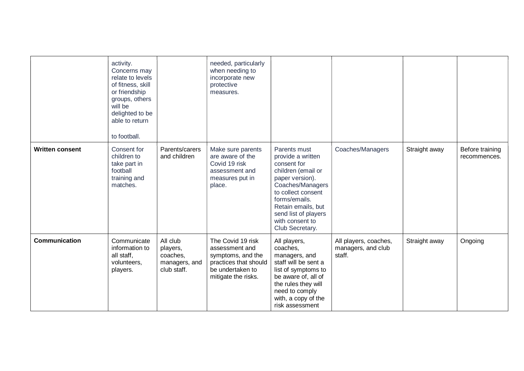|                        | activity.<br>Concerns may<br>relate to levels<br>of fitness, skill<br>or friendship<br>groups, others<br>will be<br>delighted to be<br>able to return<br>to football. |                                                                  | needed, particularly<br>when needing to<br>incorporate new<br>protective<br>measures.                                        |                                                                                                                                                                                                                                          |                                                       |               |                                 |
|------------------------|-----------------------------------------------------------------------------------------------------------------------------------------------------------------------|------------------------------------------------------------------|------------------------------------------------------------------------------------------------------------------------------|------------------------------------------------------------------------------------------------------------------------------------------------------------------------------------------------------------------------------------------|-------------------------------------------------------|---------------|---------------------------------|
| <b>Written consent</b> | Consent for<br>children to<br>take part in<br>football<br>training and<br>matches.                                                                                    | Parents/carers<br>and children                                   | Make sure parents<br>are aware of the<br>Covid 19 risk<br>assessment and<br>measures put in<br>place.                        | Parents must<br>provide a written<br>consent for<br>children (email or<br>paper version).<br>Coaches/Managers<br>to collect consent<br>forms/emails.<br>Retain emails, but<br>send list of players<br>with consent to<br>Club Secretary. | Coaches/Managers                                      | Straight away | Before training<br>recommences. |
| <b>Communication</b>   | Communicate<br>information to<br>all staff,<br>volunteers,<br>players.                                                                                                | All club<br>players,<br>coaches,<br>managers, and<br>club staff. | The Covid 19 risk<br>assessment and<br>symptoms, and the<br>practices that should<br>be undertaken to<br>mitigate the risks. | All players,<br>coaches,<br>managers, and<br>staff will be sent a<br>list of symptoms to<br>be aware of, all of<br>the rules they will<br>need to comply<br>with, a copy of the<br>risk assessment                                       | All players, coaches,<br>managers, and club<br>staff. | Straight away | Ongoing                         |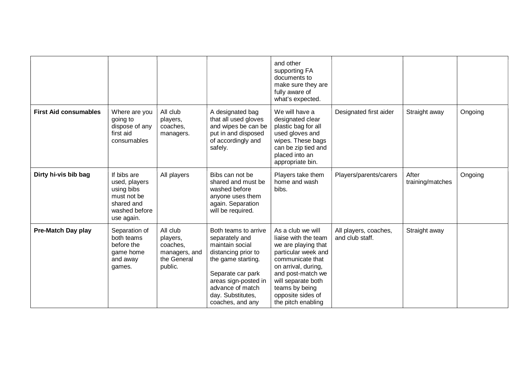|                              |                                                                                                        |                                                                             |                                                                                                                                                                                                                  | and other<br>supporting FA<br>documents to<br>make sure they are<br>fully aware of<br>what's expected.                                                                                                                                     |                                          |                           |         |
|------------------------------|--------------------------------------------------------------------------------------------------------|-----------------------------------------------------------------------------|------------------------------------------------------------------------------------------------------------------------------------------------------------------------------------------------------------------|--------------------------------------------------------------------------------------------------------------------------------------------------------------------------------------------------------------------------------------------|------------------------------------------|---------------------------|---------|
| <b>First Aid consumables</b> | Where are you<br>going to<br>dispose of any<br>first aid<br>consumables                                | All club<br>players,<br>coaches,<br>managers.                               | A designated bag<br>that all used gloves<br>and wipes be can be<br>put in and disposed<br>of accordingly and<br>safely.                                                                                          | We will have a<br>designated clear<br>plastic bag for all<br>used gloves and<br>wipes. These bags<br>can be zip tied and<br>placed into an<br>appropriate bin.                                                                             | Designated first aider                   | Straight away             | Ongoing |
| Dirty hi-vis bib bag         | If bibs are<br>used, players<br>using bibs<br>must not be<br>shared and<br>washed before<br>use again. | All players                                                                 | Bibs can not be<br>shared and must be<br>washed before<br>anyone uses them<br>again. Separation<br>will be required.                                                                                             | Players take them<br>home and wash<br>bibs.                                                                                                                                                                                                | Players/parents/carers                   | After<br>training/matches | Ongoing |
| Pre-Match Day play           | Separation of<br>both teams<br>before the<br>game home<br>and away<br>games.                           | All club<br>players,<br>coaches,<br>managers, and<br>the General<br>public. | Both teams to arrive<br>separately and<br>maintain social<br>distancing prior to<br>the game starting.<br>Separate car park<br>areas sign-posted in<br>advance of match<br>day. Substitutes,<br>coaches, and any | As a club we will<br>liaise with the team<br>we are playing that<br>particular week and<br>communicate that<br>on arrival, during,<br>and post-match we<br>will separate both<br>teams by being<br>opposite sides of<br>the pitch enabling | All players, coaches,<br>and club staff. | Straight away             |         |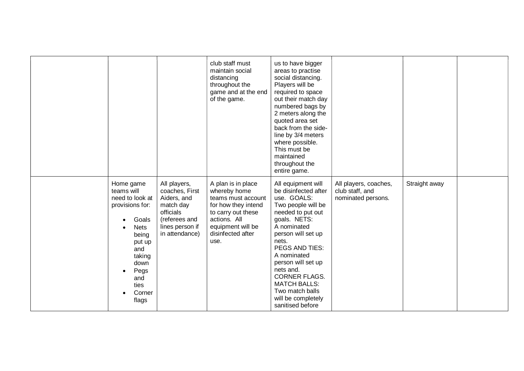|                                                                                                                                                                             |                                                                                                                               | club staff must<br>maintain social<br>distancing<br>throughout the<br>game and at the end<br>of the game.                                                               | us to have bigger<br>areas to practise<br>social distancing.<br>Players will be<br>required to space<br>out their match day<br>numbered bags by<br>2 meters along the<br>quoted area set<br>back from the side-<br>line by 3/4 meters<br>where possible.<br>This must be<br>maintained<br>throughout the<br>entire game.                           |                                                                |               |  |
|-----------------------------------------------------------------------------------------------------------------------------------------------------------------------------|-------------------------------------------------------------------------------------------------------------------------------|-------------------------------------------------------------------------------------------------------------------------------------------------------------------------|----------------------------------------------------------------------------------------------------------------------------------------------------------------------------------------------------------------------------------------------------------------------------------------------------------------------------------------------------|----------------------------------------------------------------|---------------|--|
| Home game<br>teams will<br>need to look at<br>provisions for:<br>Goals<br><b>Nets</b><br>being<br>put up<br>and<br>taking<br>down<br>Pegs<br>and<br>ties<br>Corner<br>flags | All players,<br>coaches, First<br>Aiders, and<br>match day<br>officials<br>(referees and<br>lines person if<br>in attendance) | A plan is in place<br>whereby home<br>teams must account<br>for how they intend<br>to carry out these<br>actions. All<br>equipment will be<br>disinfected after<br>use. | All equipment will<br>be disinfected after<br>use. GOALS:<br>Two people will be<br>needed to put out<br>goals. NETS:<br>A nominated<br>person will set up<br>nets.<br>PEGS AND TIES:<br>A nominated<br>person will set up<br>nets and.<br><b>CORNER FLAGS.</b><br><b>MATCH BALLS:</b><br>Two match balls<br>will be completely<br>sanitised before | All players, coaches,<br>club staff, and<br>nominated persons. | Straight away |  |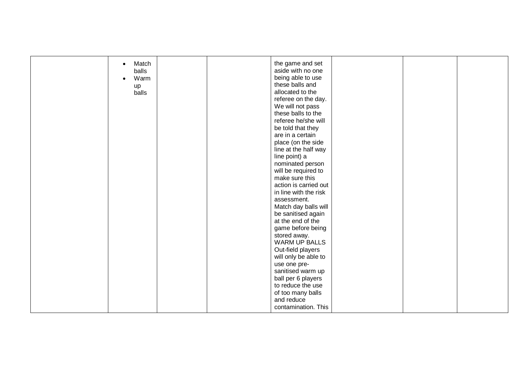| Match<br>$\bullet$ |  | the game and set      |  |  |
|--------------------|--|-----------------------|--|--|
| balls              |  | aside with no one     |  |  |
| Warm               |  | being able to use     |  |  |
| up                 |  | these balls and       |  |  |
| balls              |  | allocated to the      |  |  |
|                    |  | referee on the day.   |  |  |
|                    |  | We will not pass      |  |  |
|                    |  | these balls to the    |  |  |
|                    |  | referee he/she will   |  |  |
|                    |  | be told that they     |  |  |
|                    |  | are in a certain      |  |  |
|                    |  | place (on the side    |  |  |
|                    |  | line at the half way  |  |  |
|                    |  | line point) a         |  |  |
|                    |  | nominated person      |  |  |
|                    |  | will be required to   |  |  |
|                    |  | make sure this        |  |  |
|                    |  | action is carried out |  |  |
|                    |  | in line with the risk |  |  |
|                    |  | assessment.           |  |  |
|                    |  | Match day balls will  |  |  |
|                    |  | be sanitised again    |  |  |
|                    |  | at the end of the     |  |  |
|                    |  | game before being     |  |  |
|                    |  | stored away.          |  |  |
|                    |  | <b>WARM UP BALLS</b>  |  |  |
|                    |  | Out-field players     |  |  |
|                    |  | will only be able to  |  |  |
|                    |  | use one pre-          |  |  |
|                    |  | sanitised warm up     |  |  |
|                    |  | ball per 6 players    |  |  |
|                    |  | to reduce the use     |  |  |
|                    |  | of too many balls     |  |  |
|                    |  | and reduce            |  |  |
|                    |  | contamination. This   |  |  |
|                    |  |                       |  |  |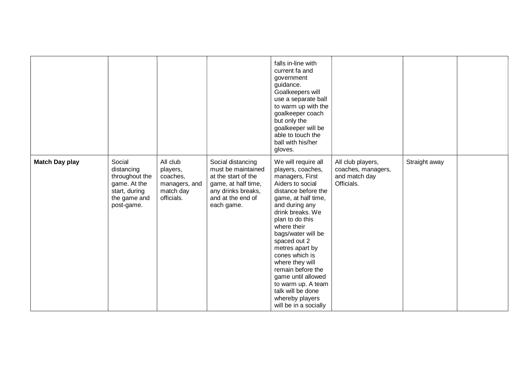|                       |                                                                                                       |                                                                              |                                                                                                                                                | falls in-line with<br>current fa and<br>government<br>guidance.<br>Goalkeepers will<br>use a separate ball<br>to warm up with the<br>goalkeeper coach<br>but only the<br>goalkeeper will be<br>able to touch the<br>ball with his/her<br>gloves.                                                                                                                                                                                      |                                                                        |               |  |
|-----------------------|-------------------------------------------------------------------------------------------------------|------------------------------------------------------------------------------|------------------------------------------------------------------------------------------------------------------------------------------------|---------------------------------------------------------------------------------------------------------------------------------------------------------------------------------------------------------------------------------------------------------------------------------------------------------------------------------------------------------------------------------------------------------------------------------------|------------------------------------------------------------------------|---------------|--|
| <b>Match Day play</b> | Social<br>distancing<br>throughout the<br>game. At the<br>start, during<br>the game and<br>post-game. | All club<br>players,<br>coaches,<br>managers, and<br>match day<br>officials. | Social distancing<br>must be maintained<br>at the start of the<br>game, at half time,<br>any drinks breaks,<br>and at the end of<br>each game. | We will require all<br>players, coaches,<br>managers, First<br>Aiders to social<br>distance before the<br>game, at half time,<br>and during any<br>drink breaks. We<br>plan to do this<br>where their<br>bags/water will be<br>spaced out 2<br>metres apart by<br>cones which is<br>where they will<br>remain before the<br>game until allowed<br>to warm up. A team<br>talk will be done<br>whereby players<br>will be in a socially | All club players,<br>coaches, managers,<br>and match day<br>Officials. | Straight away |  |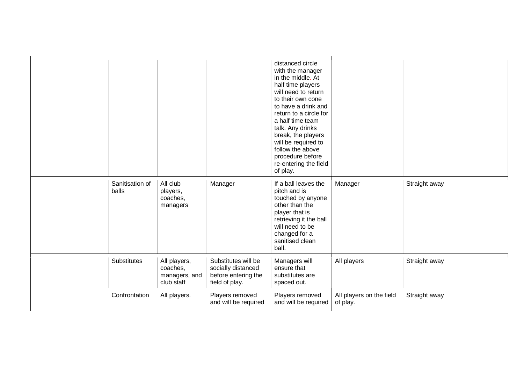|                          |                                                         |                                                                                    | distanced circle<br>with the manager<br>in the middle. At<br>half time players<br>will need to return<br>to their own cone<br>to have a drink and<br>return to a circle for<br>a half time team<br>talk. Any drinks<br>break, the players<br>will be required to<br>follow the above<br>procedure before<br>re-entering the field<br>of play. |                                      |               |  |
|--------------------------|---------------------------------------------------------|------------------------------------------------------------------------------------|-----------------------------------------------------------------------------------------------------------------------------------------------------------------------------------------------------------------------------------------------------------------------------------------------------------------------------------------------|--------------------------------------|---------------|--|
| Sanitisation of<br>balls | All club<br>players,<br>coaches,<br>managers            | Manager                                                                            | If a ball leaves the<br>pitch and is<br>touched by anyone<br>other than the<br>player that is<br>retrieving it the ball<br>will need to be<br>changed for a<br>sanitised clean<br>ball.                                                                                                                                                       | Manager                              | Straight away |  |
| Substitutes              | All players,<br>coaches,<br>managers, and<br>club staff | Substitutes will be<br>socially distanced<br>before entering the<br>field of play. | Managers will<br>ensure that<br>substitutes are<br>spaced out.                                                                                                                                                                                                                                                                                | All players                          | Straight away |  |
| Confrontation            | All players.                                            | Players removed<br>and will be required                                            | Players removed<br>and will be required                                                                                                                                                                                                                                                                                                       | All players on the field<br>of play. | Straight away |  |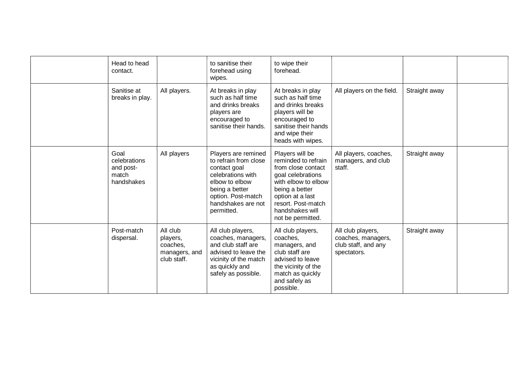| Head to head<br>contact.                                 |                                                                  | to sanitise their<br>forehead using<br>wipes.                                                                                                                                   | to wipe their<br>forehead.                                                                                                                                                                                   |                                                                               |               |  |
|----------------------------------------------------------|------------------------------------------------------------------|---------------------------------------------------------------------------------------------------------------------------------------------------------------------------------|--------------------------------------------------------------------------------------------------------------------------------------------------------------------------------------------------------------|-------------------------------------------------------------------------------|---------------|--|
| Sanitise at<br>breaks in play.                           | All players.                                                     | At breaks in play<br>such as half time<br>and drinks breaks<br>players are<br>encouraged to<br>sanitise their hands.                                                            | At breaks in play<br>such as half time<br>and drinks breaks<br>players will be<br>encouraged to<br>sanitise their hands<br>and wipe their<br>heads with wipes.                                               | All players on the field.                                                     | Straight away |  |
| Goal<br>celebrations<br>and post-<br>match<br>handshakes | All players                                                      | Players are remined<br>to refrain from close<br>contact goal<br>celebrations with<br>elbow to elbow<br>being a better<br>option. Post-match<br>handshakes are not<br>permitted. | Players will be<br>reminded to refrain<br>from close contact<br>goal celebrations<br>with elbow to elbow<br>being a better<br>option at a last<br>resort. Post-match<br>handshakes will<br>not be permitted. | All players, coaches,<br>managers, and club<br>staff.                         | Straight away |  |
| Post-match<br>dispersal.                                 | All club<br>players,<br>coaches,<br>managers, and<br>club staff. | All club players,<br>coaches, managers,<br>and club staff are<br>advised to leave the<br>vicinity of the match<br>as quickly and<br>safely as possible.                         | All club players,<br>coaches.<br>managers, and<br>club staff are<br>advised to leave<br>the vicinity of the<br>match as quickly<br>and safely as<br>possible.                                                | All club players,<br>coaches, managers,<br>club staff, and any<br>spectators. | Straight away |  |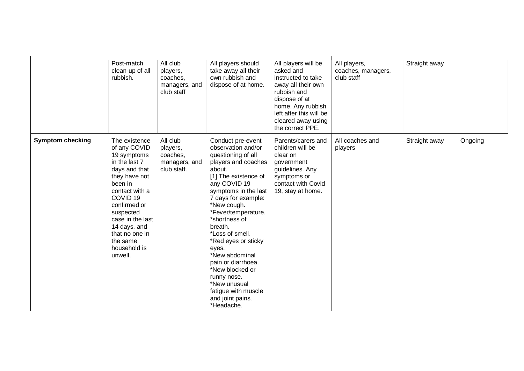|                         | Post-match<br>clean-up of all<br>rubbish.                                                                                                                                                                                                                                     | All club<br>players,<br>coaches,<br>managers, and<br>club staff  | All players should<br>take away all their<br>own rubbish and<br>dispose of at home.                                                                                                                                                                                                                                                                                                                                                                           | All players will be<br>asked and<br>instructed to take<br>away all their own<br>rubbish and<br>dispose of at<br>home. Any rubbish<br>left after this will be<br>cleared away using<br>the correct PPE. | All players,<br>coaches, managers,<br>club staff | Straight away |         |
|-------------------------|-------------------------------------------------------------------------------------------------------------------------------------------------------------------------------------------------------------------------------------------------------------------------------|------------------------------------------------------------------|---------------------------------------------------------------------------------------------------------------------------------------------------------------------------------------------------------------------------------------------------------------------------------------------------------------------------------------------------------------------------------------------------------------------------------------------------------------|--------------------------------------------------------------------------------------------------------------------------------------------------------------------------------------------------------|--------------------------------------------------|---------------|---------|
| <b>Symptom checking</b> | The existence<br>of any COVID<br>19 symptoms<br>in the last 7<br>days and that<br>they have not<br>been in<br>contact with a<br>COVID <sub>19</sub><br>confirmed or<br>suspected<br>case in the last<br>14 days, and<br>that no one in<br>the same<br>household is<br>unwell. | All club<br>players,<br>coaches,<br>managers, and<br>club staff. | Conduct pre-event<br>observation and/or<br>questioning of all<br>players and coaches<br>about.<br>[1] The existence of<br>any COVID 19<br>symptoms in the last<br>7 days for example:<br>*New cough.<br>*Fever/temperature.<br>*shortness of<br>breath.<br>*Loss of smell.<br>*Red eyes or sticky<br>eyes.<br>*New abdominal<br>pain or diarrhoea.<br>*New blocked or<br>runny nose.<br>*New unusual<br>fatigue with muscle<br>and joint pains.<br>*Headache. | Parents/carers and<br>children will be<br>clear on<br>government<br>guidelines. Any<br>symptoms or<br>contact with Covid<br>19, stay at home.                                                          | All coaches and<br>players                       | Straight away | Ongoing |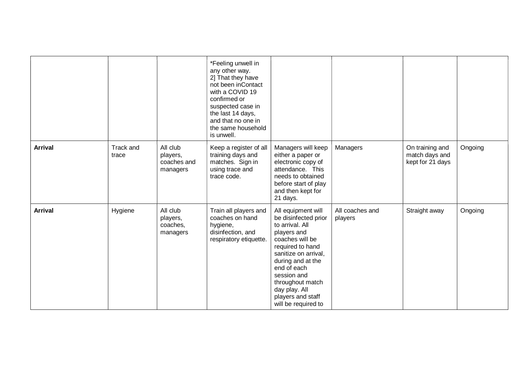|                |                           |                                                 | *Feeling unwell in<br>any other way.<br>2] That they have<br>not been inContact<br>with a COVID 19<br>confirmed or<br>suspected case in<br>the last 14 days,<br>and that no one in<br>the same household<br>is unwell. |                                                                                                                                                                                                                                                                                 |                            |                                                       |         |
|----------------|---------------------------|-------------------------------------------------|------------------------------------------------------------------------------------------------------------------------------------------------------------------------------------------------------------------------|---------------------------------------------------------------------------------------------------------------------------------------------------------------------------------------------------------------------------------------------------------------------------------|----------------------------|-------------------------------------------------------|---------|
| <b>Arrival</b> | <b>Track and</b><br>trace | All club<br>players,<br>coaches and<br>managers | Keep a register of all<br>training days and<br>matches. Sign in<br>using trace and<br>trace code.                                                                                                                      | Managers will keep<br>either a paper or<br>electronic copy of<br>attendance. This<br>needs to obtained<br>before start of play<br>and then kept for<br>21 days.                                                                                                                 | Managers                   | On training and<br>match days and<br>kept for 21 days | Ongoing |
| <b>Arrival</b> | Hygiene                   | All club<br>players,<br>coaches,<br>managers    | Train all players and<br>coaches on hand<br>hygiene,<br>disinfection, and<br>respiratory etiquette.                                                                                                                    | All equipment will<br>be disinfected prior<br>to arrival. All<br>players and<br>coaches will be<br>required to hand<br>sanitize on arrival,<br>during and at the<br>end of each<br>session and<br>throughout match<br>day play. All<br>players and staff<br>will be required to | All coaches and<br>players | Straight away                                         | Ongoing |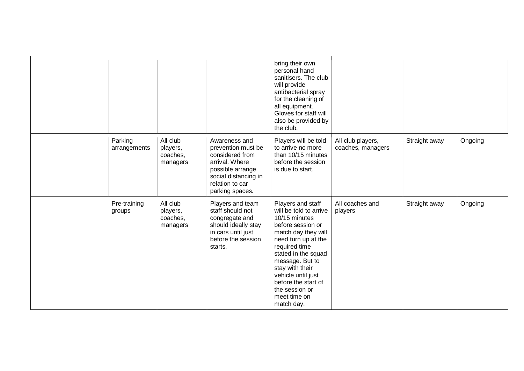|                         |                                              |                                                                                                                                                            | bring their own<br>personal hand<br>sanitisers. The club<br>will provide<br>antibacterial spray<br>for the cleaning of<br>all equipment.<br>Gloves for staff will<br>also be provided by<br>the club.                                                                                                      |                                        |               |         |
|-------------------------|----------------------------------------------|------------------------------------------------------------------------------------------------------------------------------------------------------------|------------------------------------------------------------------------------------------------------------------------------------------------------------------------------------------------------------------------------------------------------------------------------------------------------------|----------------------------------------|---------------|---------|
| Parking<br>arrangements | All club<br>players,<br>coaches,<br>managers | Awareness and<br>prevention must be<br>considered from<br>arrival. Where<br>possible arrange<br>social distancing in<br>relation to car<br>parking spaces. | Players will be told<br>to arrive no more<br>than 10/15 minutes<br>before the session<br>is due to start.                                                                                                                                                                                                  | All club players,<br>coaches, managers | Straight away | Ongoing |
| Pre-training<br>groups  | All club<br>players,<br>coaches,<br>managers | Players and team<br>staff should not<br>congregate and<br>should ideally stay<br>in cars until just<br>before the session<br>starts.                       | Players and staff<br>will be told to arrive<br>10/15 minutes<br>before session or<br>match day they will<br>need turn up at the<br>required time<br>stated in the squad<br>message. But to<br>stay with their<br>vehicle until just<br>before the start of<br>the session or<br>meet time on<br>match day. | All coaches and<br>players             | Straight away | Ongoing |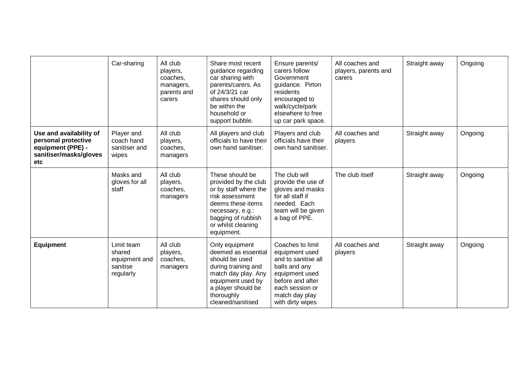|                                                                                                             | Car-sharing                                                    | All club<br>players,<br>coaches,<br>managers,<br>parents and<br>carers | Share most recent<br>guidance regarding<br>car sharing with<br>parents/carers. As<br>of 24/3/21 car<br>shares should only<br>be within the<br>household or<br>support bubble.          | Ensure parents/<br>carers follow<br>Government<br>guidance. Pirton<br>residents<br>encouraged to<br>walk/cycle/park<br>elsewhere to free<br>up car park space.            | All coaches and<br>players, parents and<br>carers | Straight away | Ongoing |
|-------------------------------------------------------------------------------------------------------------|----------------------------------------------------------------|------------------------------------------------------------------------|----------------------------------------------------------------------------------------------------------------------------------------------------------------------------------------|---------------------------------------------------------------------------------------------------------------------------------------------------------------------------|---------------------------------------------------|---------------|---------|
| Use and availability of<br>personal protective<br>equipment (PPE) -<br>sanitiser/masks/gloves<br><b>etc</b> | Player and<br>coach hand<br>sanitiser and<br>wipes             | All club<br>players,<br>coaches,<br>managers                           | All players and club<br>officials to have their<br>own hand sanitiser.                                                                                                                 | Players and club<br>officials have their<br>own hand sanitiser.                                                                                                           | All coaches and<br>players                        | Straight away | Ongoing |
|                                                                                                             | Masks and<br>gloves for all<br>staff                           | All club<br>players,<br>coaches,<br>managers                           | These should be<br>provided by the club<br>or by staff where the<br>risk assessment<br>deems these items<br>necessary, e.g.:<br>bagging of rubbish<br>or whilst cleaning<br>equipment. | The club will<br>provide the use of<br>gloves and masks<br>for all staff if<br>needed. Each<br>team will be given<br>a bag of PPE.                                        | The club itself                                   | Straight away | Ongoing |
| <b>Equipment</b>                                                                                            | Limit team<br>shared<br>equipment and<br>sanitise<br>regularly | All club<br>players,<br>coaches,<br>managers                           | Only equipment<br>deemed as essential<br>should be used<br>during training and<br>match day play. Any<br>equipment used by<br>a player should be<br>thoroughly<br>cleaned/sanitised    | Coaches to limit<br>equipment used<br>and to sanitise all<br>balls and any<br>equipment used<br>before and after<br>each session or<br>match day play<br>with dirty wipes | All coaches and<br>players                        | Straight away | Ongoing |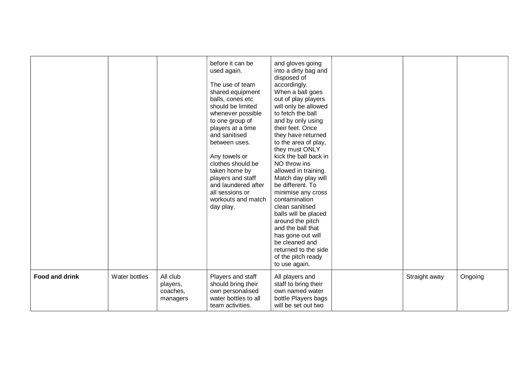|                       |               |                                              | before it can be<br>used again.<br>The use of team<br>shared equipment<br>balls, cones etc<br>should be limited<br>whenever possible<br>to one group of<br>players at a time<br>and sanitised<br>between uses.<br>Any towels or<br>clothes should be<br>taken home by<br>players and staff<br>and laundered after<br>all sessions or<br>workouts and match<br>day play. | and gloves going<br>into a dirty bag and<br>disposed of<br>accordingly.<br>When a ball goes<br>out of play players<br>will only be allowed<br>to fetch the ball<br>and by only using<br>their feet. Once<br>they have returned<br>to the area of play,<br>they must ONLY<br>kick the ball back in<br>NO throw ins<br>allowed in training.<br>Match day play will<br>be different. To<br>minimise any cross<br>contamination<br>clean sanitised<br>balls will be placed<br>around the pitch<br>and the ball that<br>has gone out will<br>be cleaned and<br>returned to the side<br>of the pitch ready<br>to use again. |               |         |
|-----------------------|---------------|----------------------------------------------|-------------------------------------------------------------------------------------------------------------------------------------------------------------------------------------------------------------------------------------------------------------------------------------------------------------------------------------------------------------------------|-----------------------------------------------------------------------------------------------------------------------------------------------------------------------------------------------------------------------------------------------------------------------------------------------------------------------------------------------------------------------------------------------------------------------------------------------------------------------------------------------------------------------------------------------------------------------------------------------------------------------|---------------|---------|
| <b>Food and drink</b> | Water bottles | All club<br>players,<br>coaches,<br>managers | Players and staff<br>should bring their<br>own personalised<br>water bottles to all<br>team activities.                                                                                                                                                                                                                                                                 | All players and<br>staff to bring their<br>own named water<br>bottle Players bags<br>will be set out two                                                                                                                                                                                                                                                                                                                                                                                                                                                                                                              | Straight away | Ongoing |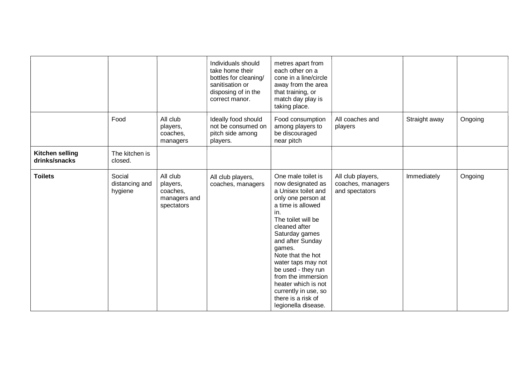|                                         |                                     |                                                                | Individuals should<br>take home their<br>bottles for cleaning/<br>sanitisation or<br>disposing of in the<br>correct manor. | metres apart from<br>each other on a<br>cone in a line/circle<br>away from the area<br>that training, or<br>match day play is<br>taking place.                                                                                                                                                                                                                                             |                                                          |               |         |
|-----------------------------------------|-------------------------------------|----------------------------------------------------------------|----------------------------------------------------------------------------------------------------------------------------|--------------------------------------------------------------------------------------------------------------------------------------------------------------------------------------------------------------------------------------------------------------------------------------------------------------------------------------------------------------------------------------------|----------------------------------------------------------|---------------|---------|
|                                         | Food                                | All club<br>players,<br>coaches,<br>managers                   | Ideally food should<br>not be consumed on<br>pitch side among<br>players.                                                  | Food consumption<br>among players to<br>be discouraged<br>near pitch                                                                                                                                                                                                                                                                                                                       | All coaches and<br>players                               | Straight away | Ongoing |
| <b>Kitchen selling</b><br>drinks/snacks | The kitchen is<br>closed.           |                                                                |                                                                                                                            |                                                                                                                                                                                                                                                                                                                                                                                            |                                                          |               |         |
| <b>Toilets</b>                          | Social<br>distancing and<br>hygiene | All club<br>players,<br>coaches,<br>managers and<br>spectators | All club players,<br>coaches, managers                                                                                     | One male toilet is<br>now designated as<br>a Unisex toilet and<br>only one person at<br>a time is allowed<br>in.<br>The toilet will be<br>cleaned after<br>Saturday games<br>and after Sunday<br>games.<br>Note that the hot<br>water taps may not<br>be used - they run<br>from the immersion<br>heater which is not<br>currently in use, so<br>there is a risk of<br>legionella disease. | All club players,<br>coaches, managers<br>and spectators | Immediately   | Ongoing |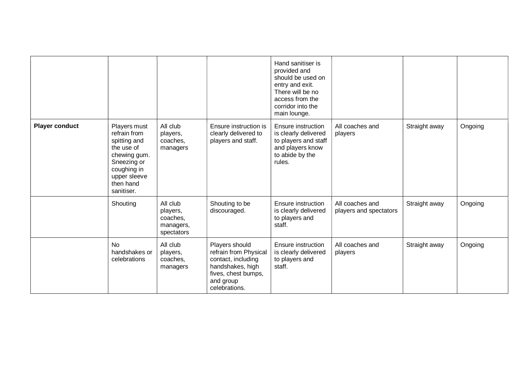|                       |                                                                                                                                                     |                                                             |                                                                                                                                        | Hand sanitiser is<br>provided and<br>should be used on<br>entry and exit.<br>There will be no<br>access from the<br>corridor into the<br>main lounge. |                                           |               |         |
|-----------------------|-----------------------------------------------------------------------------------------------------------------------------------------------------|-------------------------------------------------------------|----------------------------------------------------------------------------------------------------------------------------------------|-------------------------------------------------------------------------------------------------------------------------------------------------------|-------------------------------------------|---------------|---------|
| <b>Player conduct</b> | Players must<br>refrain from<br>spitting and<br>the use of<br>chewing gum.<br>Sneezing or<br>coughing in<br>upper sleeve<br>then hand<br>sanitiser. | All club<br>players,<br>coaches,<br>managers                | Ensure instruction is<br>clearly delivered to<br>players and staff.                                                                    | Ensure instruction<br>is clearly delivered<br>to players and staff<br>and players know<br>to abide by the<br>rules.                                   | All coaches and<br>players                | Straight away | Ongoing |
|                       | Shouting                                                                                                                                            | All club<br>players,<br>coaches,<br>managers,<br>spectators | Shouting to be<br>discouraged.                                                                                                         | Ensure instruction<br>is clearly delivered<br>to players and<br>staff.                                                                                | All coaches and<br>players and spectators | Straight away | Ongoing |
|                       | <b>No</b><br>handshakes or<br>celebrations                                                                                                          | All club<br>players,<br>coaches,<br>managers                | Players should<br>refrain from Physical<br>contact, including<br>handshakes, high<br>fives, chest bumps,<br>and group<br>celebrations. | Ensure instruction<br>is clearly delivered<br>to players and<br>staff.                                                                                | All coaches and<br>players                | Straight away | Ongoing |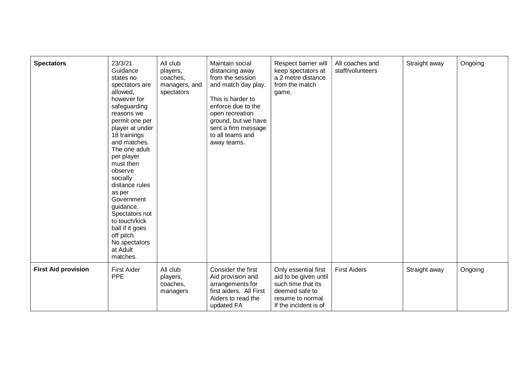| <b>Spectators</b>          | 23/3/21<br>Guidance<br>states no<br>spectators are<br>allowed,<br>however for<br>safeguarding<br>reasons we<br>permit one per<br>player at under<br>18 trainings<br>and matches.<br>The one adult<br>per player<br>must then<br>observe<br>socially<br>distance rules<br>as per<br>Government<br>guidance.<br>Spectators not<br>to touch/kick<br>ball if it goes<br>off pitch.<br>No spectators<br>at Adult<br>matches. | All club<br>players,<br>coaches,<br>managers, and<br>spectators | Maintain social<br>distancing away<br>from the session<br>and match day play.<br>This is harder to<br>enforce due to the<br>open recreation<br>ground, but we have<br>sent a firm message<br>to all teams and<br>away teams. | Respect barrier will<br>keep spectators at<br>a 2 metre distance<br>from the match<br>game.                                         | All coaches and<br>staff/volunteers | Straight away | Ongoing |
|----------------------------|-------------------------------------------------------------------------------------------------------------------------------------------------------------------------------------------------------------------------------------------------------------------------------------------------------------------------------------------------------------------------------------------------------------------------|-----------------------------------------------------------------|------------------------------------------------------------------------------------------------------------------------------------------------------------------------------------------------------------------------------|-------------------------------------------------------------------------------------------------------------------------------------|-------------------------------------|---------------|---------|
| <b>First Aid provision</b> | <b>First Aider</b><br><b>PPE</b>                                                                                                                                                                                                                                                                                                                                                                                        | All club<br>players,<br>coaches,<br>managers                    | Consider the first<br>Aid provision and<br>arrangements for<br>first aiders. All First<br>Aiders to read the<br>updated FA                                                                                                   | Only essential first<br>aid to be given until<br>such time that its<br>deemed safe to<br>resume to normal.<br>If the incident is of | <b>First Aiders</b>                 | Straight away | Ongoing |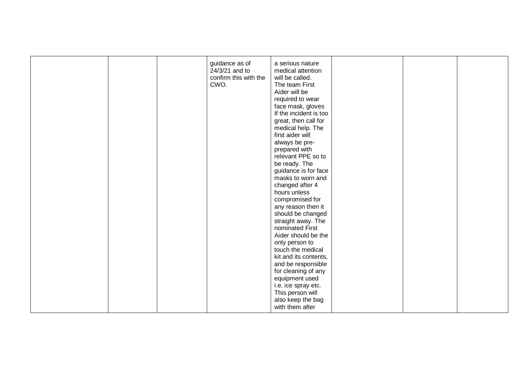|  | guidance as of<br>24/3/21 and to<br>confirm this with the<br>CWO. | a serious nature<br>medical attention<br>will be called.<br>The team First<br>Aider will be<br>required to wear<br>face mask, gloves<br>If the incident is too<br>great, then call for<br>medical help. The<br>first aider will<br>always be pre-<br>prepared with<br>relevant PPE so to<br>be ready. The<br>guidance is for face<br>masks to worn and<br>changed after 4<br>hours unless<br>compromised for<br>any reason then it<br>should be changed<br>straight away. The<br>nominated First |  |  |
|--|-------------------------------------------------------------------|--------------------------------------------------------------------------------------------------------------------------------------------------------------------------------------------------------------------------------------------------------------------------------------------------------------------------------------------------------------------------------------------------------------------------------------------------------------------------------------------------|--|--|
|  |                                                                   |                                                                                                                                                                                                                                                                                                                                                                                                                                                                                                  |  |  |
|  |                                                                   | Aider should be the<br>only person to                                                                                                                                                                                                                                                                                                                                                                                                                                                            |  |  |
|  |                                                                   | touch the medical<br>kit and its contents,                                                                                                                                                                                                                                                                                                                                                                                                                                                       |  |  |
|  |                                                                   | and be responsible<br>for cleaning of any                                                                                                                                                                                                                                                                                                                                                                                                                                                        |  |  |
|  |                                                                   | equipment used                                                                                                                                                                                                                                                                                                                                                                                                                                                                                   |  |  |
|  |                                                                   | i.e. ice spray etc.<br>This person will                                                                                                                                                                                                                                                                                                                                                                                                                                                          |  |  |
|  |                                                                   | also keep the bag<br>with them after                                                                                                                                                                                                                                                                                                                                                                                                                                                             |  |  |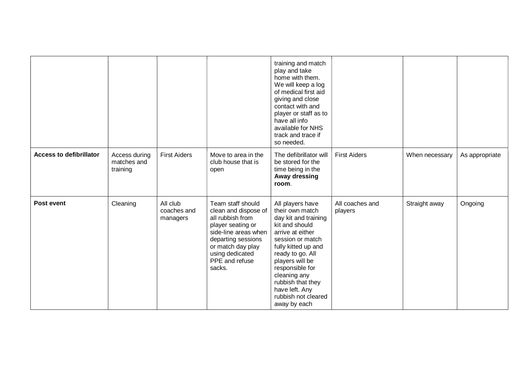|                                |                                          |                                     |                                                                                                                                                                                                      | training and match<br>play and take<br>home with them.<br>We will keep a log<br>of medical first aid<br>giving and close<br>contact with and<br>player or staff as to<br>have all info<br>available for NHS<br>track and trace if<br>so needed.                                                      |                            |                |                |
|--------------------------------|------------------------------------------|-------------------------------------|------------------------------------------------------------------------------------------------------------------------------------------------------------------------------------------------------|------------------------------------------------------------------------------------------------------------------------------------------------------------------------------------------------------------------------------------------------------------------------------------------------------|----------------------------|----------------|----------------|
| <b>Access to defibrillator</b> | Access during<br>matches and<br>training | <b>First Aiders</b>                 | Move to area in the<br>club house that is<br>open                                                                                                                                                    | The defibrillator will<br>be stored for the<br>time being in the<br>Away dressing<br>room.                                                                                                                                                                                                           | <b>First Aiders</b>        | When necessary | As appropriate |
| Post event                     | Cleaning                                 | All club<br>coaches and<br>managers | Team staff should<br>clean and dispose of<br>all rubbish from<br>player seating or<br>side-line areas when<br>departing sessions<br>or match day play<br>using dedicated<br>PPE and refuse<br>sacks. | All players have<br>their own match<br>day kit and training<br>kit and should<br>arrive at either<br>session or match<br>fully kitted up and<br>ready to go. All<br>players will be<br>responsible for<br>cleaning any<br>rubbish that they<br>have left. Any<br>rubbish not cleared<br>away by each | All coaches and<br>players | Straight away  | Ongoing        |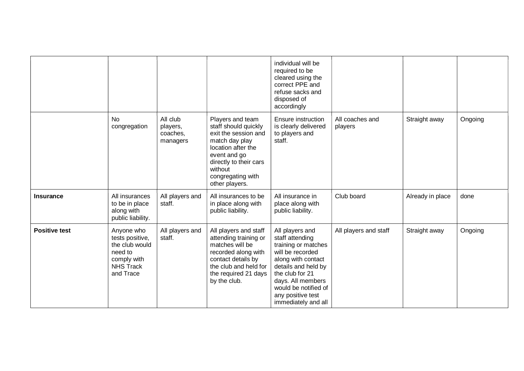|                      |                                                                                                            |                                              |                                                                                                                                                                                                      | individual will be<br>required to be<br>cleared using the<br>correct PPE and<br>refuse sacks and<br>disposed of<br>accordingly                                                                                                         |                            |                  |         |
|----------------------|------------------------------------------------------------------------------------------------------------|----------------------------------------------|------------------------------------------------------------------------------------------------------------------------------------------------------------------------------------------------------|----------------------------------------------------------------------------------------------------------------------------------------------------------------------------------------------------------------------------------------|----------------------------|------------------|---------|
|                      | <b>No</b><br>congregation                                                                                  | All club<br>players,<br>coaches,<br>managers | Players and team<br>staff should quickly<br>exit the session and<br>match day play<br>location after the<br>event and go<br>directly to their cars<br>without<br>congregating with<br>other players. | Ensure instruction<br>is clearly delivered<br>to players and<br>staff.                                                                                                                                                                 | All coaches and<br>players | Straight away    | Ongoing |
| <b>Insurance</b>     | All insurances<br>to be in place<br>along with<br>public liability.                                        | All players and<br>staff.                    | All insurances to be<br>in place along with<br>public liability.                                                                                                                                     | All insurance in<br>place along with<br>public liability.                                                                                                                                                                              | Club board                 | Already in place | done    |
| <b>Positive test</b> | Anyone who<br>tests positive,<br>the club would<br>need to<br>comply with<br><b>NHS Track</b><br>and Trace | All players and<br>staff.                    | All players and staff<br>attending training or<br>matches will be<br>recorded along with<br>contact details by<br>the club and held for<br>the required 21 days<br>by the club.                      | All players and<br>staff attending<br>training or matches<br>will be recorded<br>along with contact<br>details and held by<br>the club for 21<br>days. All members<br>would be notified of<br>any positive test<br>immediately and all | All players and staff      | Straight away    | Ongoing |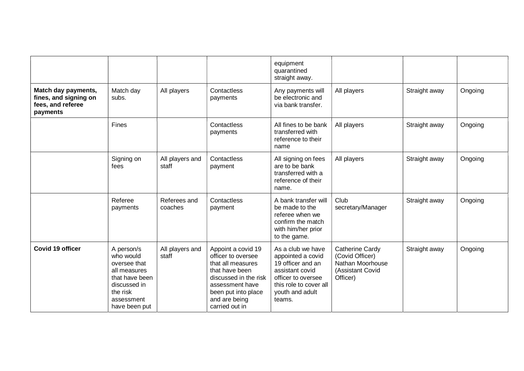|                                                                               |                                                                                                                                      |                          |                                                                                                                                                                                       | equipment<br>quarantined<br>straight away.                                                                                                                  |                                                                                        |               |         |
|-------------------------------------------------------------------------------|--------------------------------------------------------------------------------------------------------------------------------------|--------------------------|---------------------------------------------------------------------------------------------------------------------------------------------------------------------------------------|-------------------------------------------------------------------------------------------------------------------------------------------------------------|----------------------------------------------------------------------------------------|---------------|---------|
| Match day payments,<br>fines, and signing on<br>fees, and referee<br>payments | Match day<br>subs.                                                                                                                   | All players              | Contactless<br>payments                                                                                                                                                               | Any payments will<br>be electronic and<br>via bank transfer.                                                                                                | All players                                                                            | Straight away | Ongoing |
|                                                                               | <b>Fines</b>                                                                                                                         |                          | Contactless<br>payments                                                                                                                                                               | All fines to be bank<br>transferred with<br>reference to their<br>name                                                                                      | All players                                                                            | Straight away | Ongoing |
|                                                                               | Signing on<br>fees                                                                                                                   | All players and<br>staff | Contactless<br>payment                                                                                                                                                                | All signing on fees<br>are to be bank<br>transferred with a<br>reference of their<br>name.                                                                  | All players                                                                            | Straight away | Ongoing |
|                                                                               | Referee<br>payments                                                                                                                  | Referees and<br>coaches  | Contactless<br>payment                                                                                                                                                                | A bank transfer will<br>be made to the<br>referee when we<br>confirm the match<br>with him/her prior<br>to the game.                                        | Club<br>secretary/Manager                                                              | Straight away | Ongoing |
| <b>Covid 19 officer</b>                                                       | A person/s<br>who would<br>oversee that<br>all measures<br>that have been<br>discussed in<br>the risk<br>assessment<br>have been put | All players and<br>staff | Appoint a covid 19<br>officer to oversee<br>that all measures<br>that have been<br>discussed in the risk<br>assessment have<br>been put into place<br>and are being<br>carried out in | As a club we have<br>appointed a covid<br>19 officer and an<br>assistant covid<br>officer to oversee<br>this role to cover all<br>youth and adult<br>teams. | Catherine Cardy<br>(Covid Officer)<br>Nathan Moorhouse<br>(Assistant Covid<br>Officer) | Straight away | Ongoing |